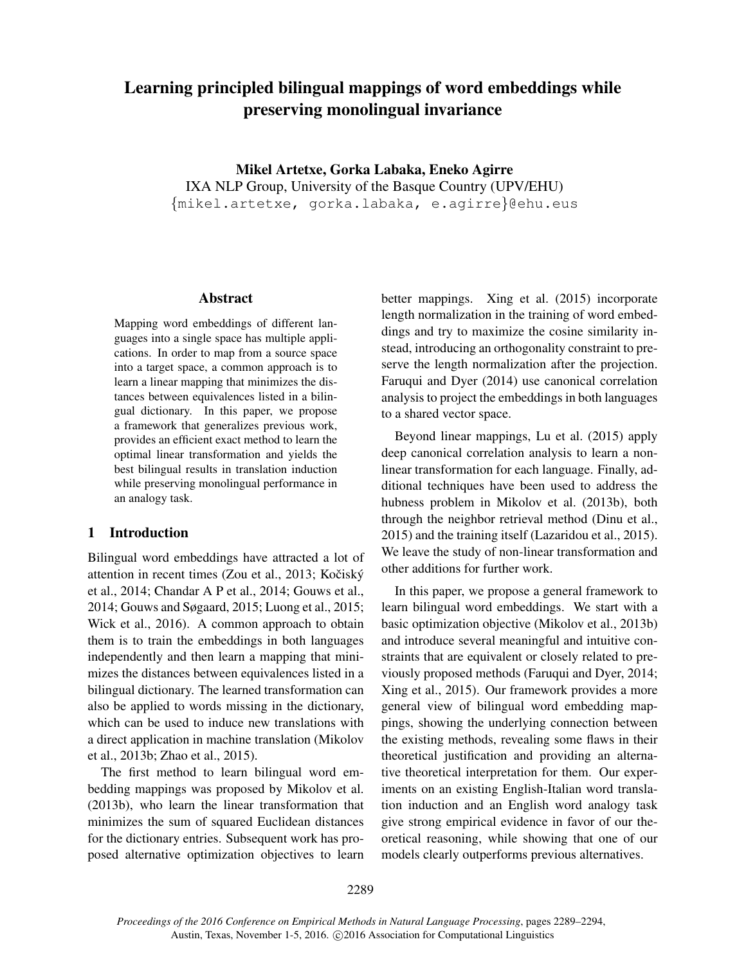# Learning principled bilingual mappings of word embeddings while preserving monolingual invariance

Mikel Artetxe, Gorka Labaka, Eneko Agirre IXA NLP Group, University of the Basque Country (UPV/EHU) {mikel.artetxe, gorka.labaka, e.agirre}@ehu.eus

#### Abstract

Mapping word embeddings of different languages into a single space has multiple applications. In order to map from a source space into a target space, a common approach is to learn a linear mapping that minimizes the distances between equivalences listed in a bilingual dictionary. In this paper, we propose a framework that generalizes previous work, provides an efficient exact method to learn the optimal linear transformation and yields the best bilingual results in translation induction while preserving monolingual performance in an analogy task.

## 1 Introduction

Bilingual word embeddings have attracted a lot of attention in recent times (Zou et al., 2013; Kočiský et al., 2014; Chandar A P et al., 2014; Gouws et al., 2014; Gouws and Søgaard, 2015; Luong et al., 2015; Wick et al., 2016). A common approach to obtain them is to train the embeddings in both languages independently and then learn a mapping that minimizes the distances between equivalences listed in a bilingual dictionary. The learned transformation can also be applied to words missing in the dictionary, which can be used to induce new translations with a direct application in machine translation (Mikolov et al., 2013b; Zhao et al., 2015).

The first method to learn bilingual word embedding mappings was proposed by Mikolov et al. (2013b), who learn the linear transformation that minimizes the sum of squared Euclidean distances for the dictionary entries. Subsequent work has proposed alternative optimization objectives to learn better mappings. Xing et al. (2015) incorporate length normalization in the training of word embeddings and try to maximize the cosine similarity instead, introducing an orthogonality constraint to preserve the length normalization after the projection. Faruqui and Dyer (2014) use canonical correlation analysis to project the embeddings in both languages to a shared vector space.

Beyond linear mappings, Lu et al. (2015) apply deep canonical correlation analysis to learn a nonlinear transformation for each language. Finally, additional techniques have been used to address the hubness problem in Mikolov et al. (2013b), both through the neighbor retrieval method (Dinu et al., 2015) and the training itself (Lazaridou et al., 2015). We leave the study of non-linear transformation and other additions for further work.

In this paper, we propose a general framework to learn bilingual word embeddings. We start with a basic optimization objective (Mikolov et al., 2013b) and introduce several meaningful and intuitive constraints that are equivalent or closely related to previously proposed methods (Faruqui and Dyer, 2014; Xing et al., 2015). Our framework provides a more general view of bilingual word embedding mappings, showing the underlying connection between the existing methods, revealing some flaws in their theoretical justification and providing an alternative theoretical interpretation for them. Our experiments on an existing English-Italian word translation induction and an English word analogy task give strong empirical evidence in favor of our theoretical reasoning, while showing that one of our models clearly outperforms previous alternatives.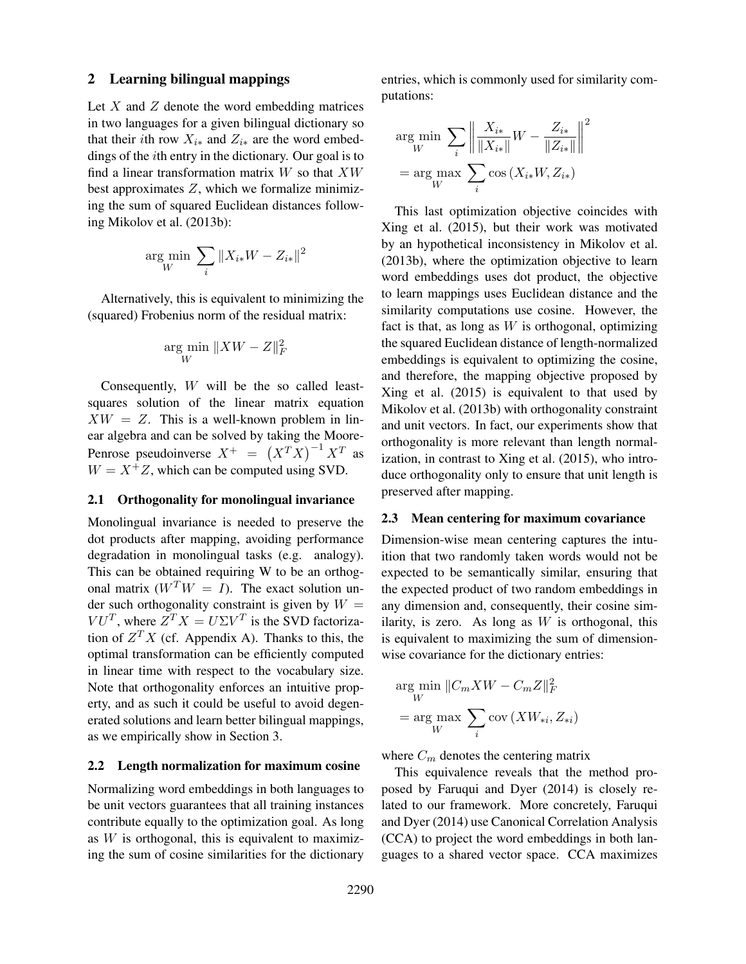# 2 Learning bilingual mappings

Let  $X$  and  $Z$  denote the word embedding matrices in two languages for a given bilingual dictionary so that their *i*th row  $X_{i*}$  and  $Z_{i*}$  are the word embeddings of the ith entry in the dictionary. Our goal is to find a linear transformation matrix  $W$  so that  $XW$ best approximates  $Z$ , which we formalize minimizing the sum of squared Euclidean distances following Mikolov et al. (2013b):

$$
\underset{W}{\arg\min} \ \sum_{i} \|X_{i*}W - Z_{i*}\|^2
$$

Alternatively, this is equivalent to minimizing the (squared) Frobenius norm of the residual matrix:

$$
\argmin_W \|XW - Z\|_F^2
$$

Consequently, W will be the so called leastsquares solution of the linear matrix equation  $XW = Z$ . This is a well-known problem in linear algebra and can be solved by taking the Moore-Penrose pseudoinverse  $X^+ = (X^T X)^{-1} X^T$  as  $W = X^{\dagger}Z$ , which can be computed using SVD.

## 2.1 Orthogonality for monolingual invariance

Monolingual invariance is needed to preserve the dot products after mapping, avoiding performance degradation in monolingual tasks (e.g. analogy). This can be obtained requiring W to be an orthogonal matrix  $(W^TW = I)$ . The exact solution under such orthogonality constraint is given by  $W =$  $VU<sup>T</sup>$ , where  $Z<sup>T</sup>X = U\Sigma V<sup>T</sup>$  is the SVD factorization of  $Z<sup>T</sup>X$  (cf. Appendix A). Thanks to this, the optimal transformation can be efficiently computed in linear time with respect to the vocabulary size. Note that orthogonality enforces an intuitive property, and as such it could be useful to avoid degenerated solutions and learn better bilingual mappings, as we empirically show in Section 3.

# 2.2 Length normalization for maximum cosine

Normalizing word embeddings in both languages to be unit vectors guarantees that all training instances contribute equally to the optimization goal. As long as  $W$  is orthogonal, this is equivalent to maximizing the sum of cosine similarities for the dictionary entries, which is commonly used for similarity computations:

$$
\argmin_{W} \sum_{i} \left\| \frac{X_{i*}}{\|X_{i*}\|} W - \frac{Z_{i*}}{\|Z_{i*}\|} \right\|^2
$$

$$
= \argmax_{W} \sum_{i} \cos\left(X_{i*} W, Z_{i*}\right)
$$

This last optimization objective coincides with Xing et al. (2015), but their work was motivated by an hypothetical inconsistency in Mikolov et al. (2013b), where the optimization objective to learn word embeddings uses dot product, the objective to learn mappings uses Euclidean distance and the similarity computations use cosine. However, the fact is that, as long as  $W$  is orthogonal, optimizing the squared Euclidean distance of length-normalized embeddings is equivalent to optimizing the cosine, and therefore, the mapping objective proposed by Xing et al. (2015) is equivalent to that used by Mikolov et al. (2013b) with orthogonality constraint and unit vectors. In fact, our experiments show that orthogonality is more relevant than length normalization, in contrast to Xing et al. (2015), who introduce orthogonality only to ensure that unit length is preserved after mapping.

#### 2.3 Mean centering for maximum covariance

Dimension-wise mean centering captures the intuition that two randomly taken words would not be expected to be semantically similar, ensuring that the expected product of two random embeddings in any dimension and, consequently, their cosine similarity, is zero. As long as  $W$  is orthogonal, this is equivalent to maximizing the sum of dimensionwise covariance for the dictionary entries:

$$
\argmin_{W} ||C_m X W - C_m Z||_F^2
$$

$$
= \argmax_{W} \sum_{i} \text{cov}(X W_{*i}, Z_{*i})
$$

where  $C_m$  denotes the centering matrix

This equivalence reveals that the method proposed by Faruqui and Dyer (2014) is closely related to our framework. More concretely, Faruqui and Dyer (2014) use Canonical Correlation Analysis (CCA) to project the word embeddings in both languages to a shared vector space. CCA maximizes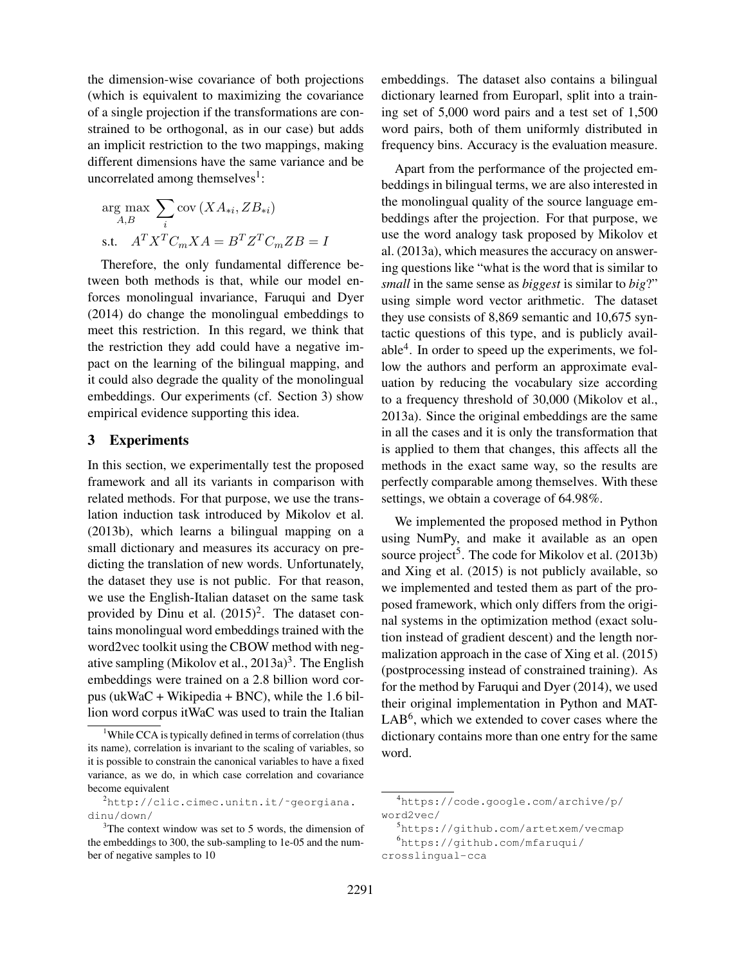the dimension-wise covariance of both projections (which is equivalent to maximizing the covariance of a single projection if the transformations are constrained to be orthogonal, as in our case) but adds an implicit restriction to the two mappings, making different dimensions have the same variance and be uncorrelated among themselves<sup>1</sup>:

$$
\arg_{A,B} \max_{i} \sum_{i} \text{cov}(XA_{*i}, ZB_{*i})
$$
  
s.t. 
$$
A^T X^T C_m X A = B^T Z^T C_m Z B = I
$$

Therefore, the only fundamental difference between both methods is that, while our model enforces monolingual invariance, Faruqui and Dyer (2014) do change the monolingual embeddings to meet this restriction. In this regard, we think that the restriction they add could have a negative impact on the learning of the bilingual mapping, and it could also degrade the quality of the monolingual embeddings. Our experiments (cf. Section 3) show empirical evidence supporting this idea.

# 3 Experiments

In this section, we experimentally test the proposed framework and all its variants in comparison with related methods. For that purpose, we use the translation induction task introduced by Mikolov et al. (2013b), which learns a bilingual mapping on a small dictionary and measures its accuracy on predicting the translation of new words. Unfortunately, the dataset they use is not public. For that reason, we use the English-Italian dataset on the same task provided by Dinu et al.  $(2015)^2$ . The dataset contains monolingual word embeddings trained with the word2vec toolkit using the CBOW method with negative sampling (Mikolov et al.,  $2013a)^3$ . The English embeddings were trained on a 2.8 billion word corpus (ukWaC + Wikipedia + BNC), while the 1.6 billion word corpus itWaC was used to train the Italian embeddings. The dataset also contains a bilingual dictionary learned from Europarl, split into a training set of 5,000 word pairs and a test set of 1,500 word pairs, both of them uniformly distributed in frequency bins. Accuracy is the evaluation measure.

Apart from the performance of the projected embeddings in bilingual terms, we are also interested in the monolingual quality of the source language embeddings after the projection. For that purpose, we use the word analogy task proposed by Mikolov et al. (2013a), which measures the accuracy on answering questions like "what is the word that is similar to *small* in the same sense as *biggest* is similar to *big*?" using simple word vector arithmetic. The dataset they use consists of 8,869 semantic and 10,675 syntactic questions of this type, and is publicly available $4$ . In order to speed up the experiments, we follow the authors and perform an approximate evaluation by reducing the vocabulary size according to a frequency threshold of 30,000 (Mikolov et al., 2013a). Since the original embeddings are the same in all the cases and it is only the transformation that is applied to them that changes, this affects all the methods in the exact same way, so the results are perfectly comparable among themselves. With these settings, we obtain a coverage of 64.98%.

We implemented the proposed method in Python using NumPy, and make it available as an open source project<sup>5</sup>. The code for Mikolov et al. (2013b) and Xing et al. (2015) is not publicly available, so we implemented and tested them as part of the proposed framework, which only differs from the original systems in the optimization method (exact solution instead of gradient descent) and the length normalization approach in the case of Xing et al. (2015) (postprocessing instead of constrained training). As for the method by Faruqui and Dyer (2014), we used their original implementation in Python and MAT-LAB<sup>6</sup>, which we extended to cover cases where the dictionary contains more than one entry for the same word.

<sup>&</sup>lt;sup>1</sup>While CCA is typically defined in terms of correlation (thus its name), correlation is invariant to the scaling of variables, so it is possible to constrain the canonical variables to have a fixed variance, as we do, in which case correlation and covariance become equivalent

<sup>2</sup>http://clic.cimec.unitn.it/˜georgiana. dinu/down/

 $3$ The context window was set to 5 words, the dimension of the embeddings to 300, the sub-sampling to 1e-05 and the number of negative samples to 10

<sup>4</sup>https://code.google.com/archive/p/ word2vec/

<sup>5</sup>https://github.com/artetxem/vecmap <sup>6</sup>https://github.com/mfaruqui/

crosslingual-cca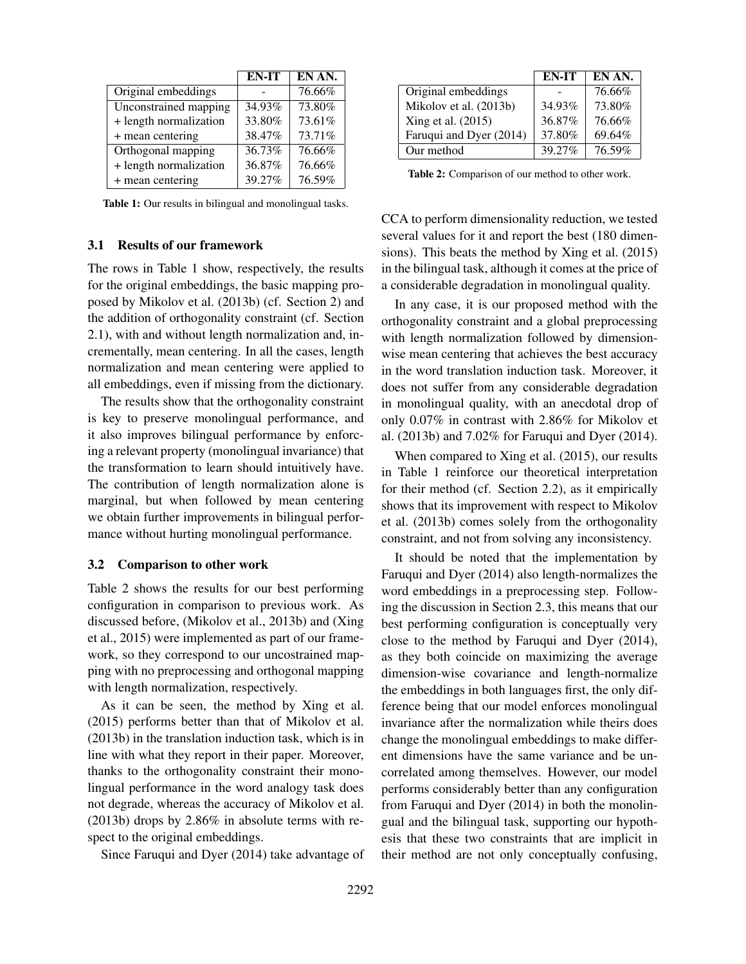|                        | EN-IT  | EN AN. |
|------------------------|--------|--------|
| Original embeddings    |        | 76.66% |
| Unconstrained mapping  | 34.93% | 73.80% |
| + length normalization | 33.80% | 73.61% |
| + mean centering       | 38.47% | 73.71% |
| Orthogonal mapping     | 36.73% | 76.66% |
| + length normalization | 36.87% | 76.66% |
| + mean centering       | 39.27% | 76.59% |

Table 1: Our results in bilingual and monolingual tasks.

## 3.1 Results of our framework

The rows in Table 1 show, respectively, the results for the original embeddings, the basic mapping proposed by Mikolov et al. (2013b) (cf. Section 2) and the addition of orthogonality constraint (cf. Section 2.1), with and without length normalization and, incrementally, mean centering. In all the cases, length normalization and mean centering were applied to all embeddings, even if missing from the dictionary.

The results show that the orthogonality constraint is key to preserve monolingual performance, and it also improves bilingual performance by enforcing a relevant property (monolingual invariance) that the transformation to learn should intuitively have. The contribution of length normalization alone is marginal, but when followed by mean centering we obtain further improvements in bilingual performance without hurting monolingual performance.

#### 3.2 Comparison to other work

Table 2 shows the results for our best performing configuration in comparison to previous work. As discussed before, (Mikolov et al., 2013b) and (Xing et al., 2015) were implemented as part of our framework, so they correspond to our uncostrained mapping with no preprocessing and orthogonal mapping with length normalization, respectively.

As it can be seen, the method by Xing et al. (2015) performs better than that of Mikolov et al. (2013b) in the translation induction task, which is in line with what they report in their paper. Moreover, thanks to the orthogonality constraint their monolingual performance in the word analogy task does not degrade, whereas the accuracy of Mikolov et al. (2013b) drops by 2.86% in absolute terms with respect to the original embeddings.

Since Faruqui and Dyer (2014) take advantage of

|                         | EN-IT  | EN AN. |
|-------------------------|--------|--------|
| Original embeddings     |        | 76.66% |
| Mikolov et al. (2013b)  | 34.93% | 73.80% |
| Xing et al. $(2015)$    | 36.87% | 76.66% |
| Faruqui and Dyer (2014) | 37.80% | 69.64% |
| Our method              | 39.27% | 76.59% |

Table 2: Comparison of our method to other work.

CCA to perform dimensionality reduction, we tested several values for it and report the best (180 dimensions). This beats the method by Xing et al. (2015) in the bilingual task, although it comes at the price of a considerable degradation in monolingual quality.

In any case, it is our proposed method with the orthogonality constraint and a global preprocessing with length normalization followed by dimensionwise mean centering that achieves the best accuracy in the word translation induction task. Moreover, it does not suffer from any considerable degradation in monolingual quality, with an anecdotal drop of only 0.07% in contrast with 2.86% for Mikolov et al. (2013b) and 7.02% for Faruqui and Dyer (2014).

When compared to Xing et al. (2015), our results in Table 1 reinforce our theoretical interpretation for their method (cf. Section 2.2), as it empirically shows that its improvement with respect to Mikolov et al. (2013b) comes solely from the orthogonality constraint, and not from solving any inconsistency.

It should be noted that the implementation by Faruqui and Dyer (2014) also length-normalizes the word embeddings in a preprocessing step. Following the discussion in Section 2.3, this means that our best performing configuration is conceptually very close to the method by Faruqui and Dyer (2014), as they both coincide on maximizing the average dimension-wise covariance and length-normalize the embeddings in both languages first, the only difference being that our model enforces monolingual invariance after the normalization while theirs does change the monolingual embeddings to make different dimensions have the same variance and be uncorrelated among themselves. However, our model performs considerably better than any configuration from Faruqui and Dyer (2014) in both the monolingual and the bilingual task, supporting our hypothesis that these two constraints that are implicit in their method are not only conceptually confusing,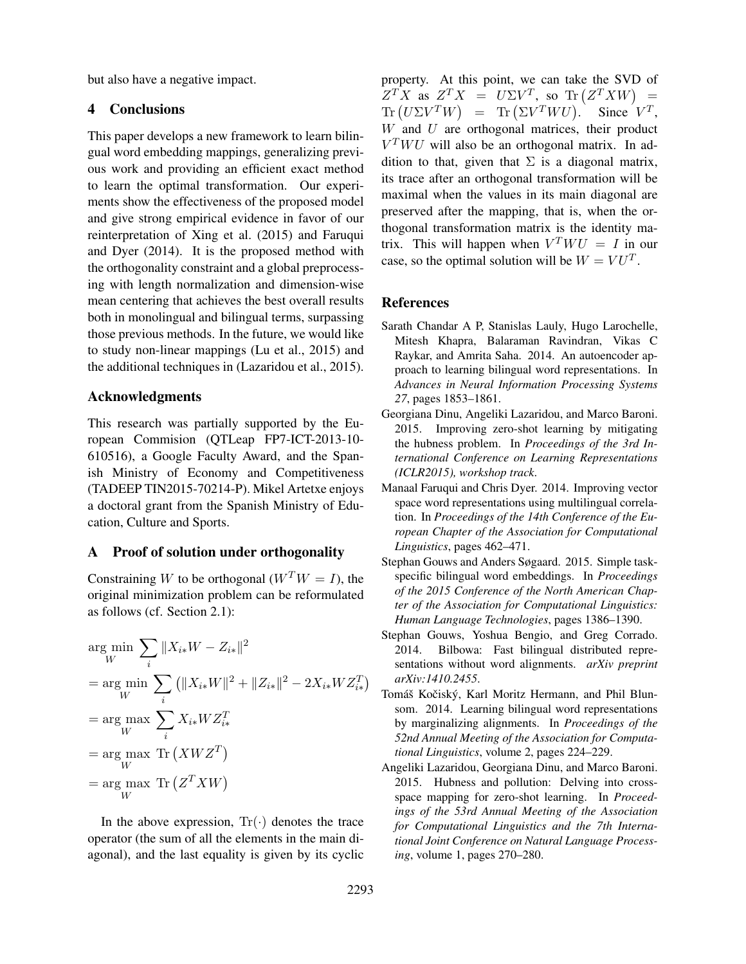but also have a negative impact.

# 4 Conclusions

This paper develops a new framework to learn bilingual word embedding mappings, generalizing previous work and providing an efficient exact method to learn the optimal transformation. Our experiments show the effectiveness of the proposed model and give strong empirical evidence in favor of our reinterpretation of Xing et al. (2015) and Faruqui and Dyer (2014). It is the proposed method with the orthogonality constraint and a global preprocessing with length normalization and dimension-wise mean centering that achieves the best overall results both in monolingual and bilingual terms, surpassing those previous methods. In the future, we would like to study non-linear mappings (Lu et al., 2015) and the additional techniques in (Lazaridou et al., 2015).

# Acknowledgments

This research was partially supported by the European Commision (QTLeap FP7-ICT-2013-10- 610516), a Google Faculty Award, and the Spanish Ministry of Economy and Competitiveness (TADEEP TIN2015-70214-P). Mikel Artetxe enjoys a doctoral grant from the Spanish Ministry of Education, Culture and Sports.

# A Proof of solution under orthogonality

Constraining W to be orthogonal  $(W^TW = I)$ , the original minimization problem can be reformulated as follows (cf. Section 2.1):

$$
\arg\min_{W} \sum_{i} \|X_{i*}W - Z_{i*}\|^2
$$
\n
$$
= \arg\min_{W} \sum_{i} (\|X_{i*}W\|^2 + \|Z_{i*}\|^2 - 2X_{i*}WZ_{i*}^T)
$$
\n
$$
= \arg\max_{W} \sum_{i} X_{i*}WZ_{i*}^T
$$
\n
$$
= \arg\max_{W} \text{Tr}(XWZ^T)
$$
\n
$$
= \arg\max_{W} \text{Tr}(Z^T X W)
$$

In the above expression,  $Tr(\cdot)$  denotes the trace operator (the sum of all the elements in the main diagonal), and the last equality is given by its cyclic property. At this point, we can take the SVD of  $Z^T X$  as  $Z^T X = U \Sigma V^T$ , so Tr  $(Z^T X W) =$  $\text{Tr}\left(U\Sigma V^T W\right) = \text{Tr}\left(\Sigma V^T W U\right).$  Since  $V^T$ ,  $W$  and  $U$  are orthogonal matrices, their product  $V^T W U$  will also be an orthogonal matrix. In addition to that, given that  $\Sigma$  is a diagonal matrix, its trace after an orthogonal transformation will be maximal when the values in its main diagonal are preserved after the mapping, that is, when the orthogonal transformation matrix is the identity matrix. This will happen when  $V^T W U = I$  in our case, so the optimal solution will be  $W = VU<sup>T</sup>$ .

#### References

- Sarath Chandar A P, Stanislas Lauly, Hugo Larochelle, Mitesh Khapra, Balaraman Ravindran, Vikas C Raykar, and Amrita Saha. 2014. An autoencoder approach to learning bilingual word representations. In *Advances in Neural Information Processing Systems 27*, pages 1853–1861.
- Georgiana Dinu, Angeliki Lazaridou, and Marco Baroni. 2015. Improving zero-shot learning by mitigating the hubness problem. In *Proceedings of the 3rd International Conference on Learning Representations (ICLR2015), workshop track*.
- Manaal Faruqui and Chris Dyer. 2014. Improving vector space word representations using multilingual correlation. In *Proceedings of the 14th Conference of the European Chapter of the Association for Computational Linguistics*, pages 462–471.
- Stephan Gouws and Anders Søgaard. 2015. Simple taskspecific bilingual word embeddings. In *Proceedings of the 2015 Conference of the North American Chapter of the Association for Computational Linguistics: Human Language Technologies*, pages 1386–1390.
- Stephan Gouws, Yoshua Bengio, and Greg Corrado. 2014. Bilbowa: Fast bilingual distributed representations without word alignments. *arXiv preprint arXiv:1410.2455*.
- Tomáš Kočiský, Karl Moritz Hermann, and Phil Blunsom. 2014. Learning bilingual word representations by marginalizing alignments. In *Proceedings of the 52nd Annual Meeting of the Association for Computational Linguistics*, volume 2, pages 224–229.
- Angeliki Lazaridou, Georgiana Dinu, and Marco Baroni. 2015. Hubness and pollution: Delving into crossspace mapping for zero-shot learning. In *Proceedings of the 53rd Annual Meeting of the Association for Computational Linguistics and the 7th International Joint Conference on Natural Language Processing*, volume 1, pages 270–280.